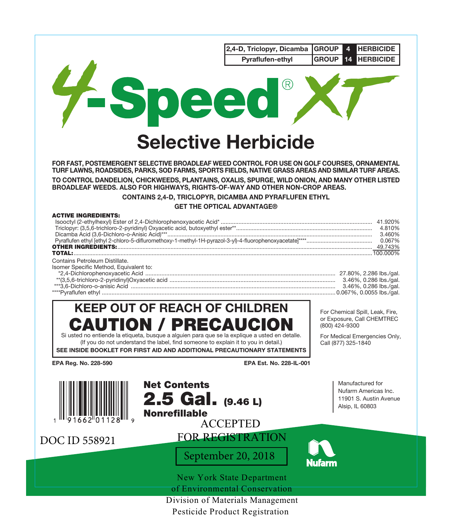|                                                                                                                                                                                                                                                                                                                                  | 2,4-D, Triclopyr, Dicamba<br>Pyraflufen-ethyl | <b>GROUP</b><br><b>HERBICIDE</b><br>4<br><b>GROUP</b><br><b>HERBICIDE</b><br>14                                                         |
|----------------------------------------------------------------------------------------------------------------------------------------------------------------------------------------------------------------------------------------------------------------------------------------------------------------------------------|-----------------------------------------------|-----------------------------------------------------------------------------------------------------------------------------------------|
| -Sn                                                                                                                                                                                                                                                                                                                              | eed                                           |                                                                                                                                         |
|                                                                                                                                                                                                                                                                                                                                  | <b>Selective Herbicide</b>                    |                                                                                                                                         |
| FOR FAST, POSTEMERGENT SELECTIVE BROADLEAF WEED CONTROL FOR USE ON GOLF COURSES, ORNAMENTAL<br>TURF LAWNS, ROADSIDES, PARKS, SOD FARMS, SPORTS FIELDS, NATIVE GRASS AREAS AND SIMILAR TURF AREAS.                                                                                                                                |                                               |                                                                                                                                         |
| TO CONTROL DANDELION, CHICKWEEDS, PLANTAINS, OXALIS, SPURGE, WILD ONION, AND MANY OTHER LISTED<br>BROADLEAF WEEDS. ALSO FOR HIGHWAYS, RIGHTS-OF-WAY AND OTHER NON-CROP AREAS.                                                                                                                                                    |                                               |                                                                                                                                         |
| CONTAINS 2,4-D, TRICLOPYR, DICAMBA AND PYRAFLUFEN ETHYL                                                                                                                                                                                                                                                                          | <b>GET THE OPTICAL ADVANTAGE®</b>             |                                                                                                                                         |
| <b>ACTIVE INGREDIENTS:</b>                                                                                                                                                                                                                                                                                                       |                                               |                                                                                                                                         |
| Contains Petroleum Distillate.<br>Isomer Specific Method, Equivalent to:                                                                                                                                                                                                                                                         |                                               |                                                                                                                                         |
| <b>KEEP OUT OF REACH OF CHILDREN</b><br>CAUTION / PRECAUCION<br>Si usted no entiende la etiqueta, busque a alguien para que se la explique a usted en detalle.<br>(If you do not understand the label, find someone to explain it to you in detail.)<br>SEE INSIDE BOOKLET FOR FIRST AID AND ADDITIONAL PRECAUTIONARY STATEMENTS |                                               | For Chemical Spill, Leak, Fire,<br>or Exposure, Call CHEMTREC<br>(800) 424-9300<br>For Medical Emergencies Only,<br>Call (877) 325-1840 |
| EPA Reg. No. 228-590                                                                                                                                                                                                                                                                                                             | EPA Est. No. 228-IL-001                       |                                                                                                                                         |
| <b>Net Contents</b><br>$2.5$ Gal. $(9.46 L)$<br><b>Nonrefillable</b>                                                                                                                                                                                                                                                             | <b>ACCEPTED</b>                               | Manufactured for<br>Nufarm Americas Inc.<br>11901 S. Austin Avenue<br>Alsip, IL 60803                                                   |
| DOC ID 558921                                                                                                                                                                                                                                                                                                                    | <b>FOR REGISTRATION</b>                       |                                                                                                                                         |
|                                                                                                                                                                                                                                                                                                                                  | September 20, 2018                            | lufarm                                                                                                                                  |
|                                                                                                                                                                                                                                                                                                                                  | <b>New York State Department</b>              |                                                                                                                                         |
|                                                                                                                                                                                                                                                                                                                                  | of Environmental Conservation                 |                                                                                                                                         |
|                                                                                                                                                                                                                                                                                                                                  | Division of Materials Management              |                                                                                                                                         |

Pesticide Product Registration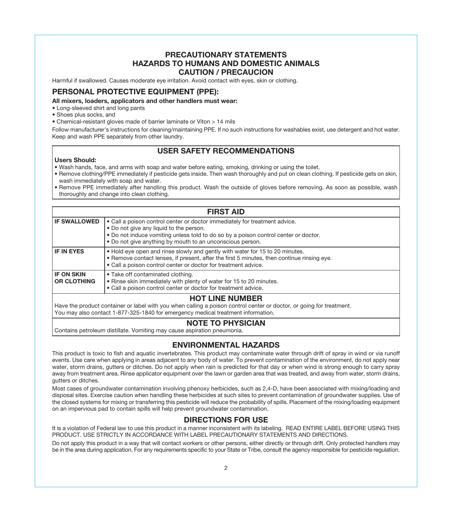# **PRECAUTIONARY STATEMENTS HAZARDS TO HUMANS AND DOMESTIC ANIMALS CAUTION / PRECAUCION**

Harmful if swallowed. Causes moderate eye irritation. Avoid contact with eyes, skin or clothing.

## **PERSONAL PROTECTIVE EQUIPMENT (PPE):**

#### **All mixers, loaders, applicators and other handlers must wear:**

- Long-sleeved shirt and long pants
- Shoes plus socks, and
- Chemical-resistant gloves made of barrier laminate or Viton > 14 mils

Follow manufacturer's instructions for cleaning/maintaining PPE. If no such instructions for washables exist, use detergent and hot water. Keep and wash PPE separately from other laundry.

# **USER SAFETY RECOMMENDATIONS**

#### **Users Should:**

- Wash hands, face, and arms with soap and water before eating, smoking, drinking or using the toilet.
- Remove clothing/PPE immediately if pesticide gets inside. Then wash thoroughly and put on clean clothing. If pesticide gets on skin, wash immediately with soap and water.
- Remove PPE immediately after handling this product. Wash the outside of gloves before removing. As soon as possible, wash thoroughly and change into clean clothing.

| <b>FIRST AID</b>                        |                                                                                                                                                                                                                                                                           |  |  |  |
|-----------------------------------------|---------------------------------------------------------------------------------------------------------------------------------------------------------------------------------------------------------------------------------------------------------------------------|--|--|--|
| <b>IF SWALLOWED</b>                     | . Call a poison control center or doctor immediately for treatment advice.<br>. Do not give any liquid to the person.<br>. Do not induce vomiting unless told to do so by a poison control center or doctor.<br>• Do not give anything by mouth to an unconscious person. |  |  |  |
| <b>IF IN EYES</b>                       | . Hold eye open and rinse slowly and gently with water for 15 to 20 minutes.<br>. Remove contact lenses, if present, after the first 5 minutes, then continue rinsing eye.<br>• Call a poison control center or doctor for treatment advice.                              |  |  |  |
| <b>IF ON SKIN</b><br><b>OR CLOTHING</b> | • Take off contaminated clothing.<br>. Rinse skin immediately with plenty of water for 15 to 20 minutes.<br>• Call a poison control center or doctor for treatment advice.                                                                                                |  |  |  |
| <b>UOT I INE NIIMPED</b>                |                                                                                                                                                                                                                                                                           |  |  |  |

#### **HOT LINE NUMBER**

Have the product container or label with you when calling a poison control center or doctor, or going for treatment. You may also contact 1-877-325-1840 for emergency medical treatment information.

# **NOTE TO PHYSICIAN**

Contains petroleum distillate. Vomiting may cause aspiration pneumonia.

# **ENVIRONMENTAL HAZARDS**

This product is toxic to fish and aquatic invertebrates. This product may contaminate water through drift of spray in wind or via runoff events. Use care when applying in areas adjacent to any body of water. To prevent contamination of the environment, do not apply near water, storm drains, gutters or ditches. Do not apply when rain is predicted for that day or when wind is strong enough to carry spray away from treatment area. Rinse applicator equipment over the lawn or garden area that was treated, and away from water, storm drains, gutters or ditches.

Most cases of groundwater contamination involving phenoxy herbicides, such as 2,4-D, have been associated with mixing/loading and disposal sites. Exercise caution when handling these herbicides at such sites to prevent contamination of groundwater supplies. Use of the closed systems for mixing or transferring this pesticide will reduce the probability of spills. Placement of the mixing/loading equipment on an impervious pad to contain spills will help prevent groundwater contamination.

## **DIRECTIONS FOR USE**

It is a violation of Federal law to use this product in a manner inconsistent with its labeling. READ ENTIRE LABEL BEFORE USING THIS PRODUCT. USE STRICTLY IN ACCORDANCE WITH LABEL PRECAUTIONARY STATEMENTS AND DIRECTIONS.

Do not apply this product in a way that will contact workers or other persons, either directly or through drift. Only protected handlers may be in the area during application. For any requirements specific to your State or Tribe, consult the agency responsible for pesticide regulation.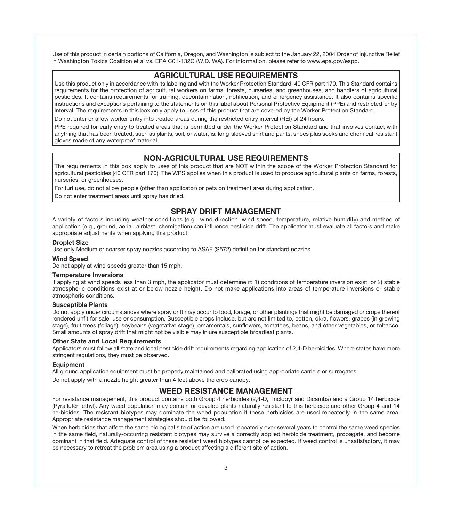Use of this product in certain portions of California, Oregon, and Washington is subject to the January 22, 2004 Order of Injunctive Relief in Washington Toxics Coalition et al vs. EPA C01-132C (W.D. WA). For information, please refer to www.epa.gov/espp.

# **AGRICULTURAL USE REQUIREMENTS**

Use this product only in accordance with its labeling and with the Worker Protection Standard, 40 CFR part 170. This Standard contains requirements for the protection of agricultural workers on farms, forests, nurseries, and greenhouses, and handlers of agricultural pesticides. It contains requirements for training, decontamination, notification, and emergency assistance. It also contains specific instructions and exceptions pertaining to the statements on this label about Personal Protective Equipment (PPE) and restricted-entry interval. The requirements in this box only apply to uses of this product that are covered by the Worker Protection Standard.

Do not enter or allow worker entry into treated areas during the restricted entry interval (REI) of 24 hours.

PPE required for early entry to treated areas that is permitted under the Worker Protection Standard and that involves contact with anything that has been treated, such as plants, soil, or water, is: long-sleeved shirt and pants, shoes plus socks and chemical-resistant gloves made of any waterproof material.

# **NON-AGRICULTURAL USE REQUIREMENTS**

The requirements in this box apply to uses of this product that are NOT within the scope of the Worker Protection Standard for agricultural pesticides (40 CFR part 170). The WPS applies when this product is used to produce agricultural plants on farms, forests, nurseries, or greenhouses.

For turf use, do not allow people (other than applicator) or pets on treatment area during application.

Do not enter treatment areas until spray has dried.

# **SPRAY DRIFT MANAGEMENT**

A variety of factors including weather conditions (e.g., wind direction, wind speed, temperature, relative humidity) and method of application (e.g., ground, aerial, airblast, chemigation) can influence pesticide drift. The applicator must evaluate all factors and make appropriate adjustments when applying this product.

# **Droplet Size**

Use only Medium or coarser spray nozzles according to ASAE (S572) definition for standard nozzles.

#### **Wind Speed**

Do not apply at wind speeds greater than 15 mph.

#### **Temperature Inversions**

If applying at wind speeds less than 3 mph, the applicator must determine if: 1) conditions of temperature inversion exist, or 2) stable atmospheric conditions exist at or below nozzle height. Do not make applications into areas of temperature inversions or stable atmospheric conditions.

#### **Susceptible Plants**

Do not apply under circumstances where spray drift may occur to food, forage, or other plantings that might be damaged or crops thereof rendered unfit for sale, use or consumption. Susceptible crops include, but are not limited to, cotton, okra, flowers, grapes (in growing stage), fruit trees (foliage), soybeans (vegetative stage), ornamentals, sunflowers, tomatoes, beans, and other vegetables, or tobacco. Small amounts of spray drift that might not be visible may injure susceptible broadleaf plants.

#### **Other State and Local Requirements**

Applicators must follow all state and local pesticide drift requirements regarding application of 2,4-D herbicides. Where states have more stringent regulations, they must be observed.

#### **Equipment**

All ground application equipment must be properly maintained and calibrated using appropriate carriers or surrogates.

Do not apply with a nozzle height greater than 4 feet above the crop canopy.

## **WEED RESISTANCE MANAGEMENT**

For resistance management, this product contains both Group 4 herbicides (2,4-D, Triclopyr and Dicamba) and a Group 14 herbicide (Pyraflufen-ethyl). Any weed population may contain or develop plants naturally resistant to this herbicide and other Group 4 and 14 herbicides. The resistant biotypes may dominate the weed population if these herbicides are used repeatedly in the same area. Appropriate resistance management strategies should be followed.

When herbicides that affect the same biological site of action are used repeatedly over several years to control the same weed species in the same field, naturally-occurring resistant biotypes may survive a correctly applied herbicide treatment, propagate, and become dominant in that field. Adequate control of these resistant weed biotypes cannot be expected. If weed control is unsatisfactory, it may be necessary to retreat the problem area using a product affecting a different site of action.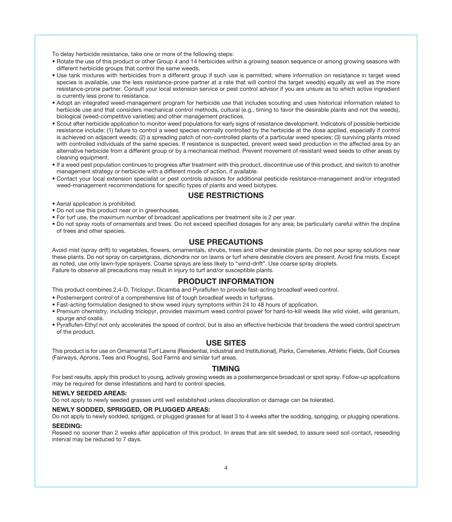To delay herbicide resistance, take one or more of the following steps:

- Rotate the use of this product or other Group 4 and 14 herbicides within a growing season sequence or among growing seasons with different herbicide groups that control the same weeds.
- Use tank mixtures with herbicides from a different group if such use is permitted; where information on resistance in target weed species is available, use the less resistance-prone partner at a rate that will control the target weed(s) equally as well as the more resistance-prone partner. Consult your local extension service or pest control advisor if you are unsure as to which active ingredient is currently less prone to resistance.
- Adopt an integrated weed-management program for herbicide use that includes scouting and uses historical information related to herbicide use and that considers mechanical control methods, cultural (e.g., timing to favor the desirable plants and not the weeds), biological (weed-competitive varieties) and other management practices.
- Scout after herbicide application to monitor weed populations for early signs of resistance development. Indicators of possible herbicide resistance include: (1) failure to control a weed species normally controlled by the herbicide at the dose applied, especially if control is achieved on adjacent weeds; (2) a spreading patch of non-controlled plants of a particular weed species; (3) surviving plants mixed with controlled individuals of the same species. If resistance is suspected, prevent weed seed production in the affected area by an alternative herbicide from a different group or by a mechanical method. Prevent movement of resistant weed seeds to other areas by cleaning equipment.
- If a weed pest population continues to progress after treatment with this product, discontinue use of this product, and switch to another management strategy or herbicide with a different mode of action, if available.
- Contact your local extension specialist or pest controls advisors for additional pesticide resistance-management and/or integrated weed-management recommendations for specific types of plants and weed biotypes.

# **USE RESTRICTIONS**

- Aerial application is prohibited.
- Do not use this product near or in greenhouses.
- For turf use, the maximum number of broadcast applications per treatment site is 2 per year.
- Do not spray roots of ornamentals and trees. Do not exceed specified dosages for any area; be particularly careful within the dripline of trees and other species.

# **USE PRECAUTIONS**

Avoid mist (spray drift) to vegetables, flowers, ornamentals, shrubs, trees and other desirable plants. Do not pour spray solutions near these plants. Do not spray on carpetgrass, dichondra nor on lawns or turf where desirable clovers are present. Avoid fine mists. Except as noted, use only lawn-type sprayers. Coarse sprays are less likely to "wind-drift". Use coarse spray droplets. Failure to observe all precautions may result in injury to turf and/or susceptible plants.

## **PRODUCT INFORMATION**

This product combines 2,4-D, Triclopyr, Dicamba and Pyraflufen to provide fast-acting broadleaf weed control.

- Postemergent control of a comprehensive list of tough broadleaf weeds in turfgrass.
- Fast-acting formulation designed to show weed injury symptoms within 24 to 48 hours of application.
- Premium chemistry, including triclopyr, provides maximum weed control power for hard-to-kill weeds like wild violet, wild geranium, spurge and oxalis.
- Pyraflufen-Ethyl not only accelerates the speed of control, but is also an effective herbicide that broadens the weed control spectrum of the product.

## **USE SITES**

This product is for use on Ornamental Turf Lawns (Residential, Industrial and Institutional), Parks, Cemeteries, Athletic Fields, Golf Courses (Fairways, Aprons, Tees and Roughs), Sod Farms and similar turf areas.

## **TIMING**

For best results, apply this product to young, actively growing weeds as a postemergence broadcast or spot spray. Follow-up applications may be required for dense infestations and hard to control species.

#### **NEWLY SEEDED AREAS:**

Do not apply to newly seeded grasses until well established unless discoloration or damage can be tolerated.

#### **NEWLY SODDED, SPRIGGED, OR PLUGGED AREAS:**

Do not apply to newly sodded, sprigged, or plugged grasses for at least 3 to 4 weeks after the sodding, sprigging, or plugging operations.

### **SEEDING:**

Reseed no sooner than 2 weeks after application of this product. In areas that are slit seeded, to assure seed soil contact, reseeding interval may be reduced to 7 days.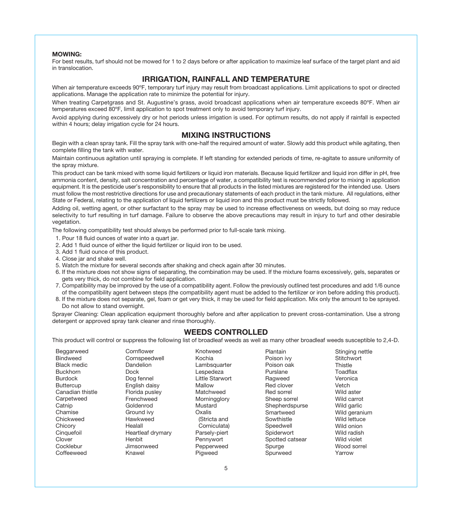#### **MOWING:**

For best results, turf should not be mowed for 1 to 2 days before or after application to maximize leaf surface of the target plant and aid in translocation.

## **IRRIGATION, RAINFALL AND TEMPERATURE**

When air temperature exceeds 90°F, temporary turf injury may result from broadcast applications. Limit applications to spot or directed applications. Manage the application rate to minimize the potential for injury.

When treating Carpetgrass and St. Augustine's grass, avoid broadcast applications when air temperature exceeds 80°F. When air temperatures exceed 80ºF, limit application to spot treatment only to avoid temporary turf injury.

Avoid applying during excessively dry or hot periods unless irrigation is used. For optimum results, do not apply if rainfall is expected within 4 hours; delay irrigation cycle for 24 hours.

## **MIXING INSTRUCTIONS**

Begin with a clean spray tank. Fill the spray tank with one-half the required amount of water. Slowly add this product while agitating, then complete filling the tank with water.

Maintain continuous agitation until spraying is complete. If left standing for extended periods of time, re-agitate to assure uniformity of the spray mixture.

This product can be tank mixed with some liquid fertilizers or liquid iron materials. Because liquid fertilizer and liquid iron differ in pH, free ammonia content, density, salt concentration and percentage of water, a compatibility test is recommended prior to mixing in application equipment. It is the pesticide user's responsibility to ensure that all products in the listed mixtures are registered for the intended use. Users must follow the most restrictive directions for use and precautionary statements of each product in the tank mixture. All regulations, either State or Federal, relating to the application of liquid fertilizers or liquid iron and this product must be strictly followed.

Adding oil, wetting agent, or other surfactant to the spray may be used to increase effectiveness on weeds, but doing so may reduce selectivity to turf resulting in turf damage. Failure to observe the above precautions may result in injury to turf and other desirable vegetation.

The following compatibility test should always be performed prior to full-scale tank mixing.

- 1. Pour 18 fluid ounces of water into a quart jar.
- 2. Add 1 fluid ounce of either the liquid fertilizer or liquid iron to be used.
- 3. Add 1 fluid ounce of this product.
- 4. Close jar and shake well.
- 5. Watch the mixture for several seconds after shaking and check again after 30 minutes.
- 6. If the mixture does not show signs of separating, the combination may be used. If the mixture foams excessively, gels, separates or gets very thick, do not combine for field application.
- 7. Compatibility may be improved by the use of a compatibility agent. Follow the previously outlined test procedures and add 1/6 ounce of the compatibility agent between steps (the compatibility agent must be added to the fertilizer or iron before adding this product).
- 8. If the mixture does not separate, gel, foam or get very thick, it may be used for field application. Mix only the amount to be sprayed. Do not allow to stand overnight.

Sprayer Cleaning: Clean application equipment thoroughly before and after application to prevent cross-contamination. Use a strong detergent or approved spray tank cleaner and rinse thoroughly.

# **WEEDS CONTROLLED**

This product will control or suppress the following list of broadleaf weeds as well as many other broadleaf weeds susceptible to 2,4-D.

| Beggarweed         | Cornflower        | Knotweed        | Plantain        | Stinging nettle |
|--------------------|-------------------|-----------------|-----------------|-----------------|
| <b>Bindweed</b>    | Cornspeedwell     | Kochia          | Poison ivv      | Stitchwort      |
| <b>Black medic</b> | Dandelion         | Lambsquarter    | Poison oak      | Thistle         |
| <b>Buckhorn</b>    | Dock              | Lespedeza       | Purslane        | Toadflax        |
| <b>Burdock</b>     | Dog fennel        | Little Starwort | Ragweed         | Veronica        |
| <b>Buttercup</b>   | English daisy     | Mallow          | Red clover      | Vetch           |
| Canadian thistle   | Florida pusley    | Matchweed       | Red sorrel      | Wild aster      |
| Carpetweed         | Frenchweed        | Morningglory    | Sheep sorrel    | Wild carrot     |
| Catnip             | Goldenrod         | Mustard         | Shepherdspurse  | Wild garlic     |
| Chamise            | Ground ivv        | Oxalis          | Smartweed       | Wild geranium   |
| Chickweed          | Hawkweed          | (Stricta and    | Sowthistle      | Wild lettuce    |
| Chicory            | Healall           | Corniculata)    | Speedwell       | Wild onion      |
| Cinquefoil         | Heartleaf drymary | Parsely-piert   | Spiderwort      | Wild radish     |
| Clover             | Henbit            | Pennywort       | Spotted catsear | Wild violet     |
| Cocklebur          | Jimsonweed        | Pepperweed      | Spurge          | Wood sorrel     |
| Coffeeweed         | Knawel            | Pigweed         | Spurweed        | Yarrow          |
|                    |                   |                 |                 |                 |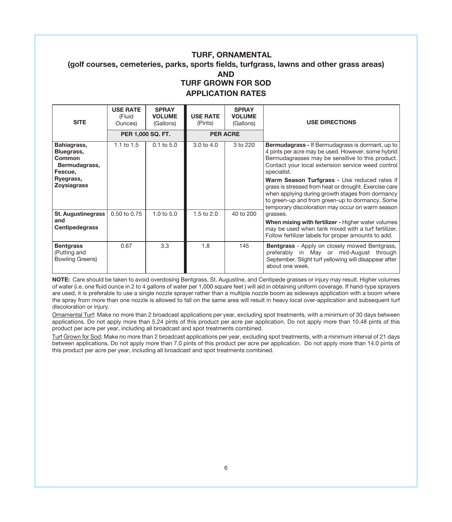# **TURF, ORNAMENTAL (golf courses, cemeteries, parks, sports fields, turfgrass, lawns and other grass areas) AND TURF GROWN FOR SOD APPLICATION RATES**

| <b>SITE</b>                                                                                        | <b>USE RATE</b><br>(Fluid<br>Ounces) | <b>SPRAY</b><br><b>VOLUME</b><br>(Gallons) | <b>USE RATE</b><br>(Pints) | <b>SPRAY</b><br><b>VOLUME</b><br>(Gallons) | <b>USE DIRECTIONS</b>                                                                                                                                                                                                                                                                                                                                                                       |
|----------------------------------------------------------------------------------------------------|--------------------------------------|--------------------------------------------|----------------------------|--------------------------------------------|---------------------------------------------------------------------------------------------------------------------------------------------------------------------------------------------------------------------------------------------------------------------------------------------------------------------------------------------------------------------------------------------|
|                                                                                                    |                                      | PER 1,000 SQ. FT.                          |                            | <b>PER ACRE</b>                            |                                                                                                                                                                                                                                                                                                                                                                                             |
| Bahiagrass,<br>Bluegrass,<br>Common<br>Bermudagrass,<br>Fescue,<br>Ryegrass,<br><b>Zoysiagrass</b> | $1.1$ to $1.5$                       | $0.1$ to $5.0$                             | $3.0 \text{ to } 4.0$      | 3 to 220                                   | Bermudagrass - If Bermudagrass is dormant, up to<br>4 pints per acre may be used. However, some hybrid<br>Bermudagrasses may be sensitive to this product.<br>Contact your local extension service weed control<br>specialist.<br>Warm Season Turfgrass - Use reduced rates if<br>grass is stressed from heat or drought. Exercise care<br>when applying during growth stages from dormancy |
|                                                                                                    |                                      |                                            |                            |                                            | to green-up and from green-up to dormancy. Some<br>temporary discoloration may occur on warm season                                                                                                                                                                                                                                                                                         |
| St. Augustinegrass<br>and<br>Centipedegrass                                                        | $0.50$ to $0.75$                     | $1.0 \text{ to } 5.0$                      | $1.5$ to $2.0$             | 40 to 200                                  | grasses.<br>When mixing with fertilizer - Higher water volumes<br>may be used when tank mixed with a turf fertilizer.<br>Follow fertilizer labels for proper amounts to add.                                                                                                                                                                                                                |
| <b>Bentgrass</b><br>(Putting and<br><b>Bowling Greens)</b>                                         | 0.67                                 | 3.3                                        | 1.8                        | 145                                        | <b>Bentgrass</b> - Apply on closely mowed Bentgrass,<br>preferably in May or mid-August through<br>September. Slight turf yellowing will disappear after<br>about one week.                                                                                                                                                                                                                 |

**NOTE:** Care should be taken to avoid overdosing Bentgrass, St. Augustine, and Centipede grasses or injury may result. Higher volumes of water (i.e. one fluid ounce in 2 to 4 gallons of water per 1,000 square feet ) will aid in obtaining uniform coverage. If hand-type sprayers are used, it is preferable to use a single nozzle sprayer rather than a multiple nozzle boom as sideways application with a boom where the spray from more than one nozzle is allowed to fall on the same area will result in heavy local over-application and subsequent turf discoloration or injury.

Ornamental Turf: Make no more than 2 broadcast applications per year, excluding spot treatments, with a minimum of 30 days between applications. Do not apply more than 5.24 pints of this product per acre per application. Do not apply more than 10.48 pints of this product per acre per year, including all broadcast and spot treatments combined.

Turf Grown for Sod: Make no more than 2 broadcast applications per year, excluding spot treatments, with a minimum interval of 21 days between applications. Do not apply more than 7.0 pints of this product per acre per application. Do not apply more than 14.0 pints of this product per acre per year, including all broadcast and spot treatments combined.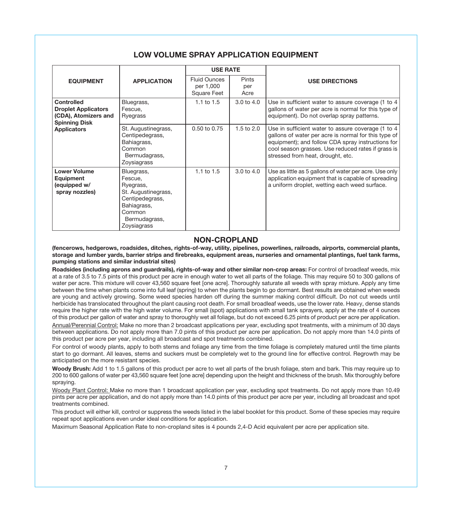|                                                                                          |                                                                                                                                       | <b>USE RATE</b>                                 |                             |                                                                                                                                                                                                                                                            |
|------------------------------------------------------------------------------------------|---------------------------------------------------------------------------------------------------------------------------------------|-------------------------------------------------|-----------------------------|------------------------------------------------------------------------------------------------------------------------------------------------------------------------------------------------------------------------------------------------------------|
| <b>EQUIPMENT</b>                                                                         | <b>APPLICATION</b>                                                                                                                    | <b>Fluid Ounces</b><br>per 1,000<br>Square Feet | <b>Pints</b><br>per<br>Acre | <b>USE DIRECTIONS</b>                                                                                                                                                                                                                                      |
| Controlled<br><b>Droplet Applicators</b><br>(CDA), Atomizers and<br><b>Spinning Disk</b> | Bluegrass,<br>Fescue.<br>Ryegrass                                                                                                     | 1.1 to $1.5$                                    | 3.0 to 4.0                  | Use in sufficient water to assure coverage (1 to 4<br>gallons of water per acre is normal for this type of<br>equipment). Do not overlap spray patterns.                                                                                                   |
| <b>Applicators</b>                                                                       | St. Augustinegrass,<br>Centipedegrass,<br>Bahiagrass,<br>Common<br>Bermudagrass,<br>Zoysiagrass                                       | $0.50$ to $0.75$                                | 1.5 to 2.0                  | Use in sufficient water to assure coverage (1 to 4<br>gallons of water per acre is normal for this type of<br>equipment); and follow CDA spray instructions for<br>cool season grasses. Use reduced rates if grass is<br>stressed from heat, drought, etc. |
| <b>Lower Volume</b><br>Equipment<br>(equipped w/<br>spray nozzles)                       | Bluegrass,<br>Fescue.<br>Ryegrass,<br>St. Augustinegrass,<br>Centipedegrass,<br>Bahiagrass,<br>Common<br>Bermudagrass,<br>Zoysiagrass | 1.1 to $1.5$                                    | 3.0 to 4.0                  | Use as little as 5 gallons of water per acre. Use only<br>application equipment that is capable of spreading<br>a uniform droplet, wetting each weed surface.                                                                                              |

# **LOW VOLUME SPRAY APPLICATION EQUIPMENT**

# **NON-CROPLAND**

**(fencerows, hedgerows, roadsides, ditches, rights-of-way, utility, pipelines, powerlines, railroads, airports, commercial plants, storage and lumber yards, barrier strips and firebreaks, equipment areas, nurseries and ornamental plantings, fuel tank farms, pumping stations and similar industrial sites)**

**Roadsides (including aprons and guardrails), rights-of-way and other similar non-crop areas:** For control of broadleaf weeds, mix at a rate of 3.5 to 7.5 pints of this product per acre in enough water to wet all parts of the foliage. This may require 50 to 300 gallons of water per acre. This mixture will cover 43,560 square feet [one acre]. Thoroughly saturate all weeds with spray mixture. Apply any time between the time when plants come into full leaf (spring) to when the plants begin to go dormant. Best results are obtained when weeds are young and actively growing. Some weed species harden off during the summer making control difficult. Do not cut weeds until herbicide has translocated throughout the plant causing root death. For small broadleaf weeds, use the lower rate. Heavy, dense stands require the higher rate with the high water volume. For small (spot) applications with small tank sprayers, apply at the rate of 4 ounces of this product per gallon of water and spray to thoroughly wet all foliage, but do not exceed 6.25 pints of product per acre per application.

Annual/Perennial Control: Make no more than 2 broadcast applications per year, excluding spot treatments, with a minimum of 30 days between applications. Do not apply more than 7.0 pints of this product per acre per application. Do not apply more than 14.0 pints of this product per acre per year, including all broadcast and spot treatments combined.

For control of woody plants, apply to both stems and foliage any time from the time foliage is completely matured until the time plants start to go dormant. All leaves, stems and suckers must be completely wet to the ground line for effective control. Regrowth may be anticipated on the more resistant species.

**Woody Brush:** Add 1 to 1.5 gallons of this product per acre to wet all parts of the brush foliage, stem and bark. This may require up to 200 to 600 gallons of water per 43,560 square feet [one acre] depending upon the height and thickness of the brush. Mix thoroughly before spraying.

Woody Plant Control: Make no more than 1 broadcast application per year, excluding spot treatments. Do not apply more than 10.49 pints per acre per application, and do not apply more than 14.0 pints of this product per acre per year, including all broadcast and spot treatments combined.

This product will either kill, control or suppress the weeds listed in the label booklet for this product. Some of these species may require repeat spot applications even under ideal conditions for application.

Maximum Seasonal Application Rate to non-cropland sites is 4 pounds 2,4-D Acid equivalent per acre per application site.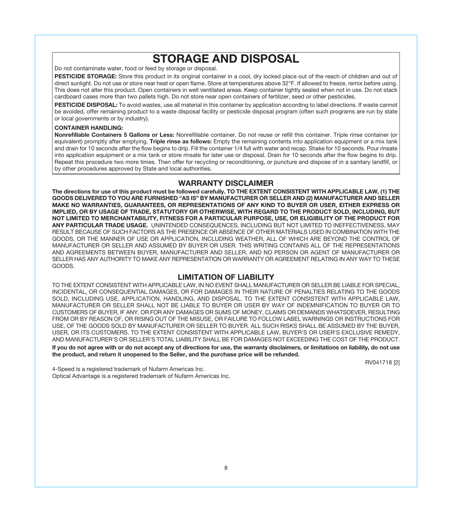# **STORAGE AND DISPOSAL**

Do not contaminate water, food or feed by storage or disposal.

PESTICIDE STORAGE: Store this product in its original container in a cool, dry locked place out of the reach of children and out of direct sunlight. Do not use or store near heat or open flame. Store at temperatures above 32°F. If allowed to freeze, remix before using. This does not alter this product. Open containers in well ventilated areas. Keep container tightly sealed when not in use. Do not stack cardboard cases more than two pallets high. Do not store near open containers of fertilizer, seed or other pesticides.

**PESTICIDE DISPOSAL:** To avoid wastes, use all material in this container by application according to label directions. If waste cannot be avoided, offer remaining product to a waste disposal facility or pesticide disposal program (often such programs are run by state or local governments or by industry).

#### **CONTAINER HANDLING:**

**Nonrefillable Containers 5 Gallons or Less:** Nonrefillable container. Do not reuse or refill this container. Triple rinse container (or equivalent) promptly after emptying. **Triple rinse as follows:** Empty the remaining contents into application equipment or a mix tank and drain for 10 seconds after the flow begins to drip. Fill the container 1/4 full with water and recap. Shake for 10 seconds. Pour rinsate into application equipment or a mix tank or store rinsate for later use or disposal. Drain for 10 seconds after the flow begins to drip. Repeat this procedure two more times. Then offer for recycling or reconditioning, or puncture and dispose of in a sanitary landfill, or by other procedures approved by State and local authorities.

## **WARRANTY DISCLAIMER**

**The directions for use of this product must be followed carefully. TO THE EXTENT CONSISTENT WITH APPLICABLE LAW, (1) THE GOODS DELIVERED TO YOU ARE FURNISHED "AS IS" BY MANUFACTURER OR SELLER AND (2) MANUFACTURER AND SELLER MAKE NO WARRANTIES, GUARANTEES, OR REPRESENTATIONS OF ANY KIND TO BUYER OR USER, EITHER EXPRESS OR IMPLIED, OR BY USAGE OF TRADE, STATUTORY OR OTHERWISE, WITH REGARD TO THE PRODUCT SOLD, INCLUDING, BUT NOT LIMITED TO MERCHANTABILITY, FITNESS FOR A PARTICULAR PURPOSE, USE, OR ELIGIBILITY OF THE PRODUCT FOR ANY PARTICULAR TRADE USAGE.** UNINTENDED CONSEQUENCES, INCLUDING BUT NOT LIMITED TO INEFFECTIVENESS, MAY RESULT BECAUSE OF SUCH FACTORS AS THE PRESENCE OR ABSENCE OF OTHER MATERIALS USED IN COMBINATION WITH THE GOODS, OR THE MANNER OF USE OR APPLICATION, INCLUDING WEATHER, ALL OF WHICH ARE BEYOND THE CONTROL OF MANUFACTURER OR SELLER AND ASSUMED BY BUYER OR USER. THIS WRITING CONTAINS ALL OF THE REPRESENTATIONS AND AGREEMENTS BETWEEN BUYER, MANUFACTURER AND SELLER, AND NO PERSON OR AGENT OF MANUFACTURER OR SELLER HAS ANY AUTHORITY TO MAKE ANY REPRESENTATION OR WARRANTY OR AGREEMENT RELATING IN ANY WAY TO THESE GOODS.

# **LIMITATION OF LIABILITY**

TO THE EXTENT CONSISTENT WITH APPLICABLE LAW, IN NO EVENT SHALL MANUFACTURER OR SELLER BE LIABLE FOR SPECIAL, INCIDENTAL, OR CONSEQUENTIAL DAMAGES, OR FOR DAMAGES IN THEIR NATURE OF PENALTIES RELATING TO THE GOODS SOLD, INCLUDING USE, APPLICATION, HANDLING, AND DISPOSAL. TO THE EXTENT CONSISTENT WITH APPLICABLE LAW, MANUFACTURER OR SELLER SHALL NOT BE LIABLE TO BUYER OR USER BY WAY OF INDEMNIFICATION TO BUYER OR TO CUSTOMERS OF BUYER, IF ANY, OR FOR ANY DAMAGES OR SUMS OF MONEY, CLAIMS OR DEMANDS WHATSOEVER, RESULTING FROM OR BY REASON OF, OR RISING OUT OF THE MISUSE, OR FAILURE TO FOLLOW LABEL WARNINGS OR INSTRUCTIONS FOR USE, OF THE GOODS SOLD BY MANUFACTURER OR SELLER TO BUYER. ALL SUCH RISKS SHALL BE ASSUMED BY THE BUYER, USER, OR ITS CUSTOMERS. TO THE EXTENT CONSISTENT WITH APPLICABLE LAW, BUYER'S OR USER'S EXCLUSIVE REMEDY, AND MANUFACTURER'S OR SELLER'S TOTAL LIABILITY SHALL BE FOR DAMAGES NOT EXCEEDING THE COST OF THE PRODUCT.

**If you do not agree with or do not accept any of directions for use, the warranty disclaimers, or limitations on liability, do not use the product, and return it unopened to the Seller, and the purchase price will be refunded.** 

RV041718 [2]

4-Speed is a registered trademark of Nufarm Americas Inc. Optical Advantage is a registered trademark of Nufarm Americas Inc.